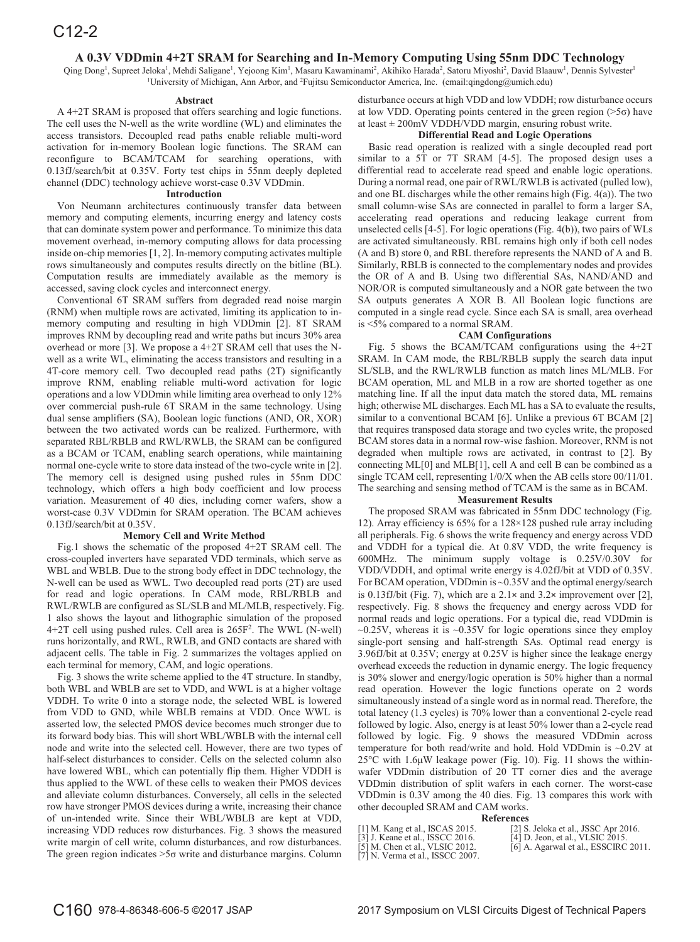# **A 0.3V VDDmin 4+2T SRAM for Searching and In-Memory Computing Using 55nm DDC Technology**

Qing Dong<sup>1</sup>, Supreet Jeloka<sup>1</sup>, Mehdi Saligane<sup>1</sup>, Yejoong Kim<sup>1</sup>, Masaru Kawaminami<sup>2</sup>, Akihiko Harada<sup>2</sup>, Satoru Miyoshi<sup>2</sup>, David Blaauw<sup>1</sup>, Dennis Sylvester<sup>1</sup> 1 University of Michigan, Ann Arbor, and 2 Fujitsu Semiconductor America, Inc. (email:qingdong@umich.edu)

#### **Abstract**

A 4+2T SRAM is proposed that offers searching and logic functions. The cell uses the N-well as the write wordline (WL) and eliminates the access transistors. Decoupled read paths enable reliable multi-word activation for in-memory Boolean logic functions. The SRAM can reconfigure to BCAM/TCAM for searching operations, with 0.13fJ/search/bit at 0.35V. Forty test chips in 55nm deeply depleted channel (DDC) technology achieve worst-case 0.3V VDDmin.

## **Introduction**

Von Neumann architectures continuously transfer data between memory and computing elements, incurring energy and latency costs that can dominate system power and performance. To minimize this data movement overhead, in-memory computing allows for data processing inside on-chip memories [1, 2]. In-memory computing activates multiple rows simultaneously and computes results directly on the bitline (BL). Computation results are immediately available as the memory is accessed, saving clock cycles and interconnect energy.

Conventional 6T SRAM suffers from degraded read noise margin (RNM) when multiple rows are activated, limiting its application to inmemory computing and resulting in high VDDmin [2]. 8T SRAM improves RNM by decoupling read and write paths but incurs 30% area overhead or more [3]. We propose a 4+2T SRAM cell that uses the Nwell as a write WL, eliminating the access transistors and resulting in a 4T-core memory cell. Two decoupled read paths (2T) significantly improve RNM, enabling reliable multi-word activation for logic operations and a low VDDmin while limiting area overhead to only 12% over commercial push-rule 6T SRAM in the same technology. Using dual sense amplifiers (SA), Boolean logic functions (AND, OR, XOR) between the two activated words can be realized. Furthermore, with separated RBL/RBLB and RWL/RWLB, the SRAM can be configured as a BCAM or TCAM, enabling search operations, while maintaining normal one-cycle write to store data instead of the two-cycle write in [2]. The memory cell is designed using pushed rules in 55nm DDC technology, which offers a high body coefficient and low process variation. Measurement of 40 dies, including corner wafers, show a worst-case 0.3V VDDmin for SRAM operation. The BCAM achieves 0.13fJ/search/bit at 0.35V.

## **Memory Cell and Write Method**

Fig.1 shows the schematic of the proposed 4+2T SRAM cell. The cross-coupled inverters have separated VDD terminals, which serve as WBL and WBLB. Due to the strong body effect in DDC technology, the N-well can be used as WWL. Two decoupled read ports (2T) are used for read and logic operations. In CAM mode, RBL/RBLB and RWL/RWLB are configured as SL/SLB and ML/MLB, respectively. Fig. 1 also shows the layout and lithographic simulation of the proposed 4+2T cell using pushed rules. Cell area is 265F2 . The WWL (N-well) runs horizontally, and RWL, RWLB, and GND contacts are shared with adjacent cells. The table in Fig. 2 summarizes the voltages applied on each terminal for memory, CAM, and logic operations.

Fig. 3 shows the write scheme applied to the 4T structure. In standby, both WBL and WBLB are set to VDD, and WWL is at a higher voltage VDDH. To write 0 into a storage node, the selected WBL is lowered from VDD to GND, while WBLB remains at VDD. Once WWL is asserted low, the selected PMOS device becomes much stronger due to its forward body bias. This will short WBL/WBLB with the internal cell node and write into the selected cell. However, there are two types of half-select disturbances to consider. Cells on the selected column also have lowered WBL, which can potentially flip them. Higher VDDH is thus applied to the WWL of these cells to weaken their PMOS devices and alleviate column disturbances. Conversely, all cells in the selected row have stronger PMOS devices during a write, increasing their chance of un-intended write. Since their WBL/WBLB are kept at VDD, increasing VDD reduces row disturbances. Fig. 3 shows the measured write margin of cell write, column disturbances, and row disturbances. The green region indicates  $>5\sigma$  write and disturbance margins. Column disturbance occurs at high VDD and low VDDH; row disturbance occurs at low VDD. Operating points centered in the green region  $($ >5 $\sigma$  $)$  have at least  $\pm$  200mV VDDH/VDD margin, ensuring robust write.

## **Differential Read and Logic Operations**

Basic read operation is realized with a single decoupled read port similar to a 5T or 7T SRAM [4-5]. The proposed design uses a differential read to accelerate read speed and enable logic operations. During a normal read, one pair of RWL/RWLB is activated (pulled low), and one BL discharges while the other remains high (Fig. 4(a)). The two small column-wise SAs are connected in parallel to form a larger SA, accelerating read operations and reducing leakage current from unselected cells [4-5]. For logic operations (Fig. 4(b)), two pairs of WLs are activated simultaneously. RBL remains high only if both cell nodes (A and B) store 0, and RBL therefore represents the NAND of A and B. Similarly, RBLB is connected to the complementary nodes and provides the OR of A and B. Using two differential SAs, NAND/AND and NOR/OR is computed simultaneously and a NOR gate between the two SA outputs generates A XOR B. All Boolean logic functions are computed in a single read cycle. Since each SA is small, area overhead is <5% compared to a normal SRAM.

### **CAM Configurations**

Fig. 5 shows the BCAM/TCAM configurations using the 4+2T SRAM. In CAM mode, the RBL/RBLB supply the search data input SL/SLB, and the RWL/RWLB function as match lines ML/MLB. For BCAM operation, ML and MLB in a row are shorted together as one matching line. If all the input data match the stored data, ML remains high; otherwise ML discharges. Each ML has a SA to evaluate the results, similar to a conventional BCAM [6]. Unlike a previous 6T BCAM [2] that requires transposed data storage and two cycles write, the proposed BCAM stores data in a normal row-wise fashion. Moreover, RNM is not degraded when multiple rows are activated, in contrast to [2]. By connecting ML[0] and MLB[1], cell A and cell B can be combined as a single TCAM cell, representing 1/0/X when the AB cells store 00/11/01. The searching and sensing method of TCAM is the same as in BCAM.

## **Measurement Results**

The proposed SRAM was fabricated in 55nm DDC technology (Fig. 12). Array efficiency is 65% for a 128×128 pushed rule array including all peripherals. Fig. 6 shows the write frequency and energy across VDD and VDDH for a typical die. At 0.8V VDD, the write frequency is 600MHz. The minimum supply voltage is 0.25V/0.30V for VDD/VDDH, and optimal write energy is 4.02fJ/bit at VDD of 0.35V. For BCAM operation, VDDmin is ~0.35V and the optimal energy/search is 0.13fJ/bit (Fig. 7), which are a  $2.1 \times$  and  $3.2 \times$  improvement over [2], respectively. Fig. 8 shows the frequency and energy across VDD for normal reads and logic operations. For a typical die, read VDDmin is  $\sim$ 0.25V, whereas it is  $\sim$ 0.35V for logic operations since they employ single-port sensing and half-strength SAs. Optimal read energy is 3.96fJ/bit at 0.35V; energy at 0.25V is higher since the leakage energy overhead exceeds the reduction in dynamic energy. The logic frequency is 30% slower and energy/logic operation is 50% higher than a normal read operation. However the logic functions operate on 2 words simultaneously instead of a single word as in normal read. Therefore, the total latency (1.3 cycles) is 70% lower than a conventional 2-cycle read followed by logic. Also, energy is at least 50% lower than a 2-cycle read followed by logic. Fig. 9 shows the measured VDDmin across temperature for both read/write and hold. Hold VDDmin is  $\sim 0.2V$  at  $25^{\circ}$ C with 1.6µW leakage power (Fig. 10). Fig. 11 shows the withinwafer VDDmin distribution of 20 TT corner dies and the average VDDmin distribution of split wafers in each corner. The worst-case VDDmin is 0.3V among the 40 dies. Fig. 13 compares this work with other decoupled SRAM and CAM works.

### **References**

[7] N. Verma et al., ISSCC 2007.

[1] M. Kang et al., ISCAS 2015. [2] S. Jeloka et al., JSSC Apr 2016. [3] J. Keane et al., ISSCC 2016. [4] D. Jeon, et al., VLSIC 2015. [3] J. Keane et al., ISSCC 2016. [4] D. Jeon, et al., VLSIC 2015.<br>[5] M. Chen et al., VLSIC 2012. [6] A. Agarwal et al., ESSCIRC 2011.